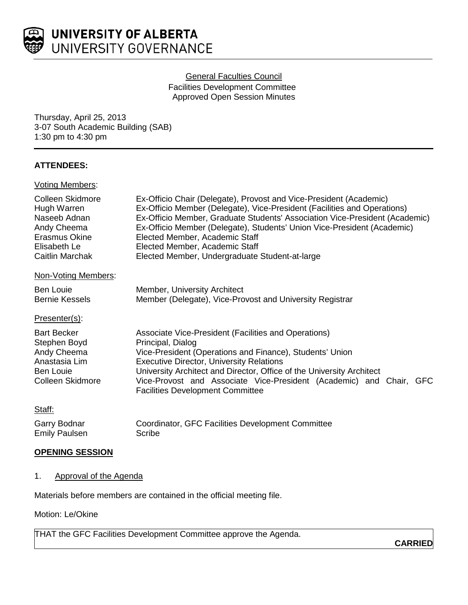

## General Faculties Council

Facilities Development Committee Approved Open Session Minutes

Thursday, April 25, 2013 3-07 South Academic Building (SAB) 1:30 pm to 4:30 pm

# **ATTENDEES:**

## Voting Members:

| Colleen Skidmore<br>Hugh Warren<br>Naseeb Adnan<br>Andy Cheema<br>Erasmus Okine<br>Elisabeth Le<br>Caitlin Marchak<br>Non-Voting Members: | Ex-Officio Chair (Delegate), Provost and Vice-President (Academic)<br>Ex-Officio Member (Delegate), Vice-President (Facilities and Operations)<br>Ex-Officio Member, Graduate Students' Association Vice-President (Academic)<br>Ex-Officio Member (Delegate), Students' Union Vice-President (Academic)<br>Elected Member, Academic Staff<br>Elected Member, Academic Staff<br>Elected Member, Undergraduate Student-at-large |
|-------------------------------------------------------------------------------------------------------------------------------------------|--------------------------------------------------------------------------------------------------------------------------------------------------------------------------------------------------------------------------------------------------------------------------------------------------------------------------------------------------------------------------------------------------------------------------------|
|                                                                                                                                           |                                                                                                                                                                                                                                                                                                                                                                                                                                |
| Ben Louie                                                                                                                                 | Member, University Architect                                                                                                                                                                                                                                                                                                                                                                                                   |
| <b>Bernie Kessels</b>                                                                                                                     | Member (Delegate), Vice-Provost and University Registrar                                                                                                                                                                                                                                                                                                                                                                       |
| Presenter(s):                                                                                                                             |                                                                                                                                                                                                                                                                                                                                                                                                                                |
| <b>Bart Becker</b>                                                                                                                        | Associate Vice-President (Facilities and Operations)                                                                                                                                                                                                                                                                                                                                                                           |
| Stephen Boyd                                                                                                                              | Principal, Dialog                                                                                                                                                                                                                                                                                                                                                                                                              |
| Andy Cheema                                                                                                                               | Vice-President (Operations and Finance), Students' Union                                                                                                                                                                                                                                                                                                                                                                       |
| Anastasia Lim                                                                                                                             | <b>Executive Director, University Relations</b>                                                                                                                                                                                                                                                                                                                                                                                |
| Ben Louie                                                                                                                                 | University Architect and Director, Office of the University Architect                                                                                                                                                                                                                                                                                                                                                          |
| Colleen Skidmore                                                                                                                          | Vice-Provost and Associate Vice-President (Academic) and Chair, GFC<br><b>Facilities Development Committee</b>                                                                                                                                                                                                                                                                                                                 |
| Staff:                                                                                                                                    |                                                                                                                                                                                                                                                                                                                                                                                                                                |
| Garry Bodnar                                                                                                                              | Coordinator, GFC Facilities Development Committee                                                                                                                                                                                                                                                                                                                                                                              |
| <b>Emily Paulsen</b>                                                                                                                      | Scribe                                                                                                                                                                                                                                                                                                                                                                                                                         |
|                                                                                                                                           |                                                                                                                                                                                                                                                                                                                                                                                                                                |

### **OPENING SESSION**

## 1. Approval of the Agenda

Materials before members are contained in the official meeting file.

#### Motion: Le/Okine

THAT the GFC Facilities Development Committee approve the Agenda.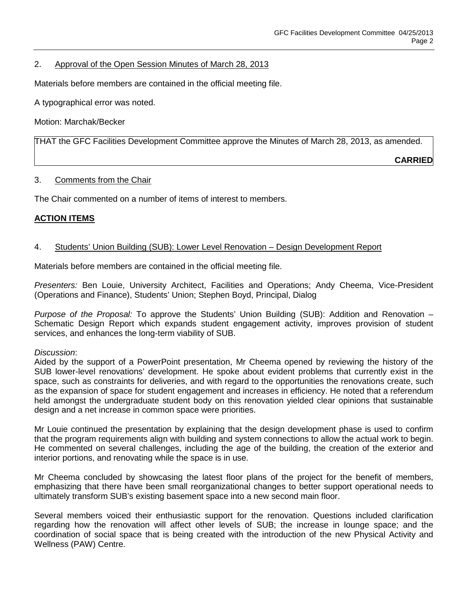## 2. Approval of the Open Session Minutes of March 28, 2013

Materials before members are contained in the official meeting file.

A typographical error was noted.

Motion: Marchak/Becker

THAT the GFC Facilities Development Committee approve the Minutes of March 28, 2013, as amended.

**CARRIED**

#### 3. Comments from the Chair

The Chair commented on a number of items of interest to members.

# **ACTION ITEMS**

## 4. Students' Union Building (SUB): Lower Level Renovation – Design Development Report

Materials before members are contained in the official meeting file.

*Presenters:* Ben Louie, University Architect, Facilities and Operations; Andy Cheema, Vice-President (Operations and Finance), Students' Union; Stephen Boyd, Principal, Dialog

*Purpose of the Proposal:* To approve the Students' Union Building (SUB): Addition and Renovation – Schematic Design Report which expands student engagement activity, improves provision of student services, and enhances the long-term viability of SUB.

*Discussion*:

Aided by the support of a PowerPoint presentation, Mr Cheema opened by reviewing the history of the SUB lower-level renovations' development. He spoke about evident problems that currently exist in the space, such as constraints for deliveries, and with regard to the opportunities the renovations create, such as the expansion of space for student engagement and increases in efficiency. He noted that a referendum held amongst the undergraduate student body on this renovation yielded clear opinions that sustainable design and a net increase in common space were priorities.

Mr Louie continued the presentation by explaining that the design development phase is used to confirm that the program requirements align with building and system connections to allow the actual work to begin. He commented on several challenges, including the age of the building, the creation of the exterior and interior portions, and renovating while the space is in use.

Mr Cheema concluded by showcasing the latest floor plans of the project for the benefit of members, emphasizing that there have been small reorganizational changes to better support operational needs to ultimately transform SUB's existing basement space into a new second main floor.

Several members voiced their enthusiastic support for the renovation. Questions included clarification regarding how the renovation will affect other levels of SUB; the increase in lounge space; and the coordination of social space that is being created with the introduction of the new Physical Activity and Wellness (PAW) Centre.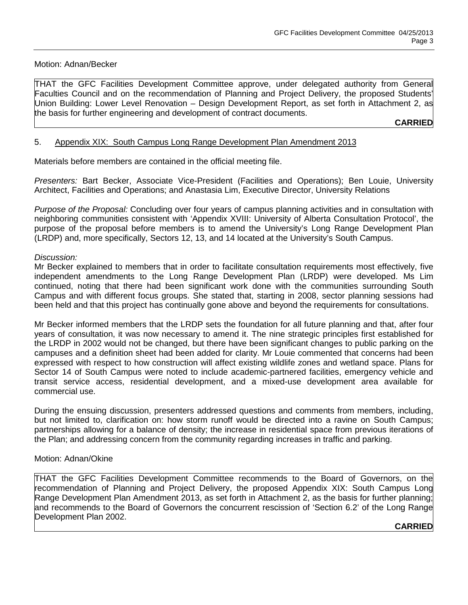## Motion: Adnan/Becker

THAT the GFC Facilities Development Committee approve, under delegated authority from General Faculties Council and on the recommendation of Planning and Project Delivery, the proposed Students' Union Building: Lower Level Renovation – Design Development Report, as set forth in Attachment 2, as the basis for further engineering and development of contract documents.

## **CARRIED**

## 5. Appendix XIX: South Campus Long Range Development Plan Amendment 2013

Materials before members are contained in the official meeting file.

*Presenters:* Bart Becker, Associate Vice-President (Facilities and Operations); Ben Louie, University Architect, Facilities and Operations; and Anastasia Lim, Executive Director, University Relations

*Purpose of the Proposal:* Concluding over four years of campus planning activities and in consultation with neighboring communities consistent with 'Appendix XVIII: University of Alberta Consultation Protocol', the purpose of the proposal before members is to amend the University's Long Range Development Plan (LRDP) and, more specifically, Sectors 12, 13, and 14 located at the University's South Campus.

#### *Discussion:*

Mr Becker explained to members that in order to facilitate consultation requirements most effectively, five independent amendments to the Long Range Development Plan (LRDP) were developed. Ms Lim continued, noting that there had been significant work done with the communities surrounding South Campus and with different focus groups. She stated that, starting in 2008, sector planning sessions had been held and that this project has continually gone above and beyond the requirements for consultations.

Mr Becker informed members that the LRDP sets the foundation for all future planning and that, after four years of consultation, it was now necessary to amend it. The nine strategic principles first established for the LRDP in 2002 would not be changed, but there have been significant changes to public parking on the campuses and a definition sheet had been added for clarity. Mr Louie commented that concerns had been expressed with respect to how construction will affect existing wildlife zones and wetland space. Plans for Sector 14 of South Campus were noted to include academic-partnered facilities, emergency vehicle and transit service access, residential development, and a mixed-use development area available for commercial use.

During the ensuing discussion, presenters addressed questions and comments from members, including, but not limited to, clarification on: how storm runoff would be directed into a ravine on South Campus; partnerships allowing for a balance of density; the increase in residential space from previous iterations of the Plan; and addressing concern from the community regarding increases in traffic and parking.

#### Motion: Adnan/Okine

THAT the GFC Facilities Development Committee recommends to the Board of Governors, on the recommendation of Planning and Project Delivery, the proposed Appendix XIX: South Campus Long Range Development Plan Amendment 2013, as set forth in Attachment 2, as the basis for further planning; and recommends to the Board of Governors the concurrent rescission of 'Section 6.2' of the Long Range Development Plan 2002.

## **CARRIED**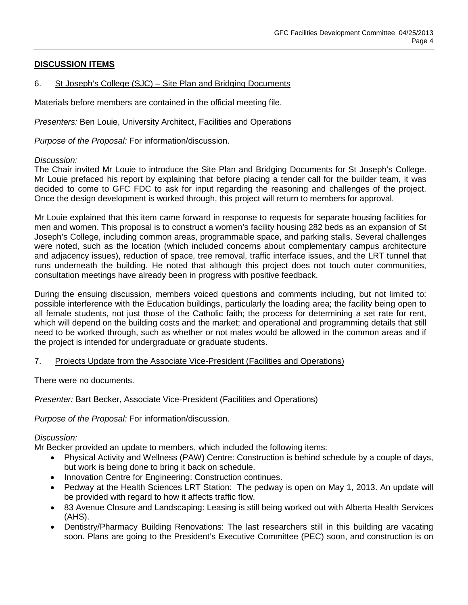# **DISCUSSION ITEMS**

## 6. St Joseph's College (SJC) – Site Plan and Bridging Documents

Materials before members are contained in the official meeting file.

*Presenters:* Ben Louie, University Architect, Facilities and Operations

*Purpose of the Proposal:* For information/discussion.

#### *Discussion:*

The Chair invited Mr Louie to introduce the Site Plan and Bridging Documents for St Joseph's College. Mr Louie prefaced his report by explaining that before placing a tender call for the builder team, it was decided to come to GFC FDC to ask for input regarding the reasoning and challenges of the project. Once the design development is worked through, this project will return to members for approval.

Mr Louie explained that this item came forward in response to requests for separate housing facilities for men and women. This proposal is to construct a women's facility housing 282 beds as an expansion of St Joseph's College, including common areas, programmable space, and parking stalls. Several challenges were noted, such as the location (which included concerns about complementary campus architecture and adjacency issues), reduction of space, tree removal, traffic interface issues, and the LRT tunnel that runs underneath the building. He noted that although this project does not touch outer communities, consultation meetings have already been in progress with positive feedback.

During the ensuing discussion, members voiced questions and comments including, but not limited to: possible interference with the Education buildings, particularly the loading area; the facility being open to all female students, not just those of the Catholic faith; the process for determining a set rate for rent, which will depend on the building costs and the market; and operational and programming details that still need to be worked through, such as whether or not males would be allowed in the common areas and if the project is intended for undergraduate or graduate students.

#### 7. Projects Update from the Associate Vice-President (Facilities and Operations)

There were no documents.

*Presenter:* Bart Becker, Associate Vice-President (Facilities and Operations)

*Purpose of the Proposal:* For information/discussion.

#### *Discussion:*

Mr Becker provided an update to members, which included the following items:

- Physical Activity and Wellness (PAW) Centre: Construction is behind schedule by a couple of days, but work is being done to bring it back on schedule.
- Innovation Centre for Engineering: Construction continues.
- Pedway at the Health Sciences LRT Station: The pedway is open on May 1, 2013. An update will be provided with regard to how it affects traffic flow.
- 83 Avenue Closure and Landscaping: Leasing is still being worked out with Alberta Health Services (AHS).
- Dentistry/Pharmacy Building Renovations: The last researchers still in this building are vacating soon. Plans are going to the President's Executive Committee (PEC) soon, and construction is on